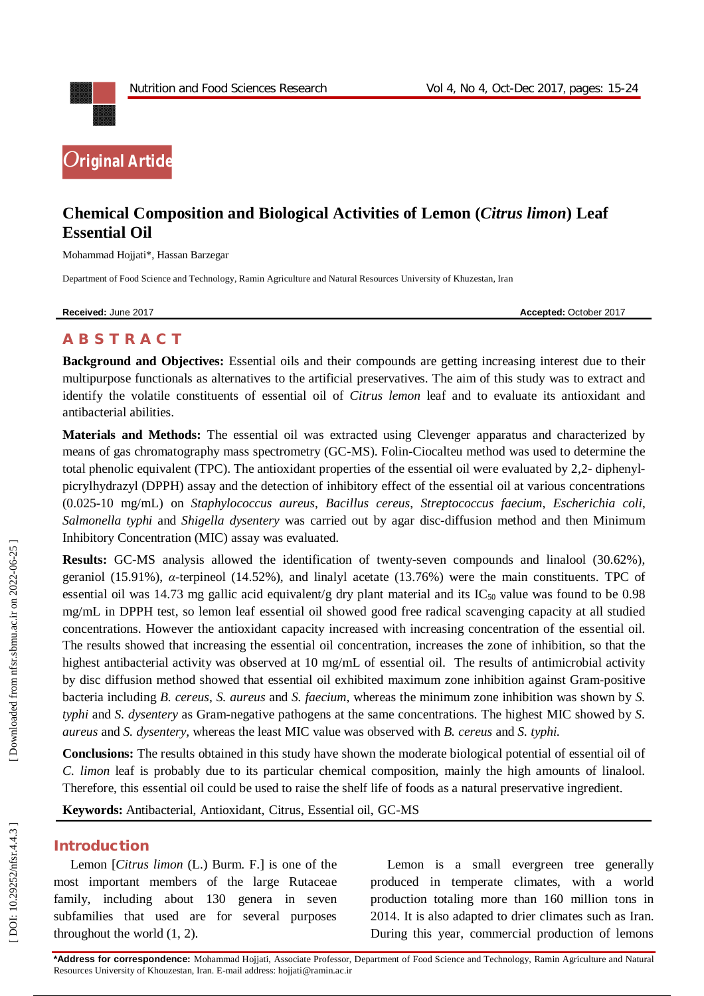

# **Chemical Composition and Biological Activities of Lemon (***Citrus limon***) Leaf Essential Oil**

Mohammad Hojjati\*, Hassan Barzegar

Department of Food Science and Technology, Ramin Agriculture and Natural Resources University of Khuzestan, Iran

**Received:** June 2017 **Accepted: October 2017 Accepted: October 2017** 

## **A B S T R A C T**

**Background and Objectives:** Essential oils and their compounds are getting increasing interest due to their multipurpose functionals as alternatives to the artificial preservatives. The aim of this study was to extract and identify the volatile constituents of essential oil of *Citrus lemon* leaf and to evaluate its antioxidant and antibacterial abilities.

**Materials and Methods:** The essential oil was extracted using Clevenger apparatus and characterized by means of gas chromatography mass spectrometry (GC -MS). Folin -Ciocalteu method was used to determine the total phenolic equivalent (TPC). The antioxidant properties of the essential oil were evaluated by 2,2- diphenylpicrylhydrazyl (DPPH) assay and the detection of inhibitory effect of the essential oil at various concentrations (0.025 -10 mg/mL) on *Staphylococcus aureus*, *Bacillus cereus*, *Streptococcus faecium*, *Escherichia coli*, *Salmonella typhi* and *Shigella dysentery* was carried out by agar disc -diffusion method and then Minimum Inhibitory Concentration (MIC) assay was evaluated.

Results: GC-MS analysis allowed the identification of twenty-seven compounds and linalool (30.62%), geraniol (15.91%), *α* -terpineol (14.52%), and linalyl acetate (13.76%) were the main constituents. TPC of essential oil was 14.73 mg gallic acid equivalent/g dry plant material and its IC<sub>50</sub> value was found to be 0.98 mg/mL in DPPH test, so lemon leaf essential oil showed good free radical scavenging capacity at all studied concentrations. However the antioxidant capacity increased with increasing concentration of the essential oil. The results showed that increasing the essential oil concentration, increases the zone of inhibition, so that the highest antibacterial activity was observed at 10 mg/mL of essential oil. The results of antimicrobial activity by disc diffusion method showed that essential oil exhibited maximum zone inhibition against Gram -positive bacteria including *B. cereus*, *S. aureus* and *S. faecium*, whereas the minimum zone inhibition was shown by *S. typhi* and *S. dysentery* as Gram -negative pathogens at the same concentrations*.* The highest MIC showed by *S. aureus* and *S. dysentery,* whereas the least MIC value was observed with *B. cereus* and *S. typhi.*

**Conclusions:** The results obtained in this study have shown the moderate biological potential of essential oil of *C. limon* leaf is probably due to its particular chemical composition, mainly the high amounts of linalool. Therefore, this essential oil could be used to raise the shelf life of foods as a natural preservative ingredient.

**Keywords:** Antibacterial, Antioxidant, Citrus, Essential oil, GC -MS

#### **Introduction**

Lemon [*Citrus limon* (L.) Burm. F.] is one of the most important members of the large Rutaceae family, including about 130 genera in seven subfamilies that used are for several purposes throughout the world ( 1, 2 ).

Lemon is a small evergreen tree generally produced in temperate climates, with a world production totaling more than 160 million tons in 2014. It is also adapted to drier climates such as Iran. During this year, commercial production of lemons

**\*Address for correspondence:** Mohammad Hojjati, Associate Professor, Department of Food Science and Technology, Ramin Agriculture and Natural Resources University of Khouzestan, Iran . E -mail address: hojjati@ramin.ac.ir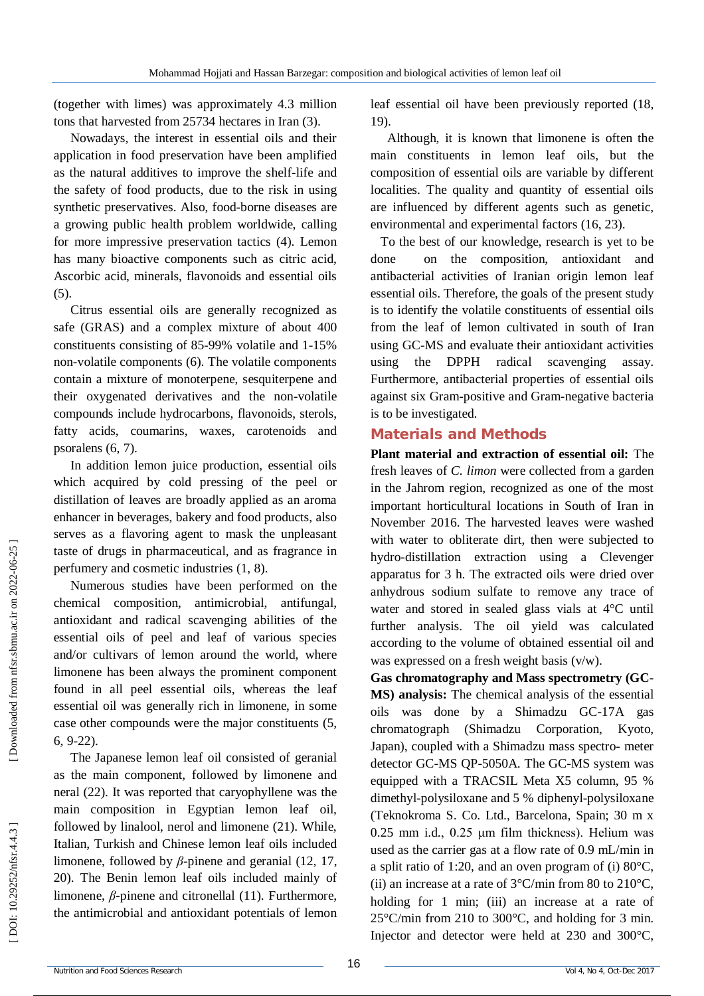(together with limes) was approximately 4.3 million tons that harvested from 25734 hectares in Iran ( 3 ) .

Nowadays, the interest in essential oils and their application in food preservation have been amplified as the natural additives to improve the shelf-life and the safety of food products, due to the risk in using synthetic preservatives. Also, food -borne diseases are a growing public health problem worldwide, calling for more impressive preservation tactics ( 4 ). Lemon has many bioactive components such as citric acid, Ascorbic acid, minerals, flavonoids and essential oils (5).

Citrus essential oils are generally recognized as safe (GRAS) and a complex mixture of about 400 constituents consisting of 85 -99% volatile and 1 -15% non -volatile components ( 6 ). The volatile components contain a mixture of monoterpene, sesquiterpene and their oxygenated derivatives and the non -volatile compounds include hydrocarbons, flavonoids, sterols, fatty acids, coumarins, waxes, carotenoids and psoralens (6, 7).

In addition lemon juice production, essential oils which acquired by cold pressing of the peel or distillation of leaves are broadly applied as an aroma enhancer in beverages, bakery and food products, also serves as a flavoring agent to mask the unpleasant taste of drugs in pharmaceutical, and as fragrance in perfumery and cosmetic industries ( 1, 8 ).

Numerous studies have been performed on the chemical composition, antimicrobial, antifungal, antioxidant and radical scavenging abilities of the essential oils of peel and leaf of various species and/or cultivars of lemon around the world, where limonene has been always the prominent component found in all peel essential oils, whereas the leaf essential oil was generally rich in limonene, in some case other compounds were the major constituents ( 5, 6, 9 -22 ).

The Japanese lemon leaf oil consisted of geranial as the main component, followed by limonene and neral (22 ). It was reported that caryophyllene was the main composition in Egyptian lemon leaf oil, followed by linalool, nerol and limonene (21 ). While, Italian, Turkish and Chinese lemon leaf oils included limonene, followed by  $\beta$ -pinene and geranial (12, 17, 20 ). The Benin lemon leaf oils included mainly of limonene,  $\beta$ -pinene and citronellal (11). Furthermore, the antimicrobial and antioxidant potentials of lemon

leaf essential oil have been previously reported (18, 19 ) .

Although, it is known that limonene is often the main constituents in lemon leaf oils, but the composition of essential oils are variable by different localities. The quality and quantity of essential oils are influenced by different agents such as genetic, environmental and experimental factors (16, 23 ).

To the best of our knowledge, research is yet to be done on the composition, antioxidant and antibacterial activities of Iranian origin lemon leaf essential oils. Therefore, the goals of the present study is to identify the volatile constituents of essential oils from the leaf of lemon cultivated in south of Iran using GC -MS and evaluate their antioxidant activities using the DPPH radical scavenging assay. Furthermore, antibacterial properties of essential oils against six Gram -positive and Gram -negative bacteria is to be investigated.

### **Materials and Methods**

**Plant material and extraction of essential oil:** The fresh leaves of *C. limon* were collected from a garden in the Jahrom region, recognized as one of the most important horticultural locations in South of Iran in November 2016. The harvested leaves were washed with water to obliterate dirt, then were subjected to hydro -distillation extraction using a Clevenger apparatus for 3 h. The extracted oils were dried over anhydrous sodium sulfate to remove any trace of water and stored in sealed glass vials at 4°C until further analysis. The oil yield was calculated according to the volume of obtained essential oil and was expressed on a fresh weight basis (v/w).

**Gas chromatography and Mass spectrometry (GC - MS) analysis:** The chemical analysis of the essential oils was done by a Shimadzu GC -17A gas chromatograph (Shimadzu Corporation, Kyoto, Japan), coupled with a Shimadzu mass spectro- meter detector GC -MS QP -5050A. The GC -MS system was equipped with a TRACSIL Meta X5 column, 95 % dimethyl -polysiloxane and 5 % diphenyl -polysiloxane (Teknokroma S. Co. Ltd., Barcelona, Spain; 30 m x 0.25 mm i.d., 0.25 μm film thickness). Helium was used as the carrier gas at a flow rate of 0.9 mL/min in a split ratio of 1:20, and an oven program of (i) 80°C, (ii) an increase at a rate of  $3^{\circ}$ C/min from 80 to 210 $^{\circ}$ C, holding for 1 min; (iii) an increase at a rate of 25°C/min from 210 to 300°C, and holding for 3 min. Injector and detector were held at 230 and 300°C,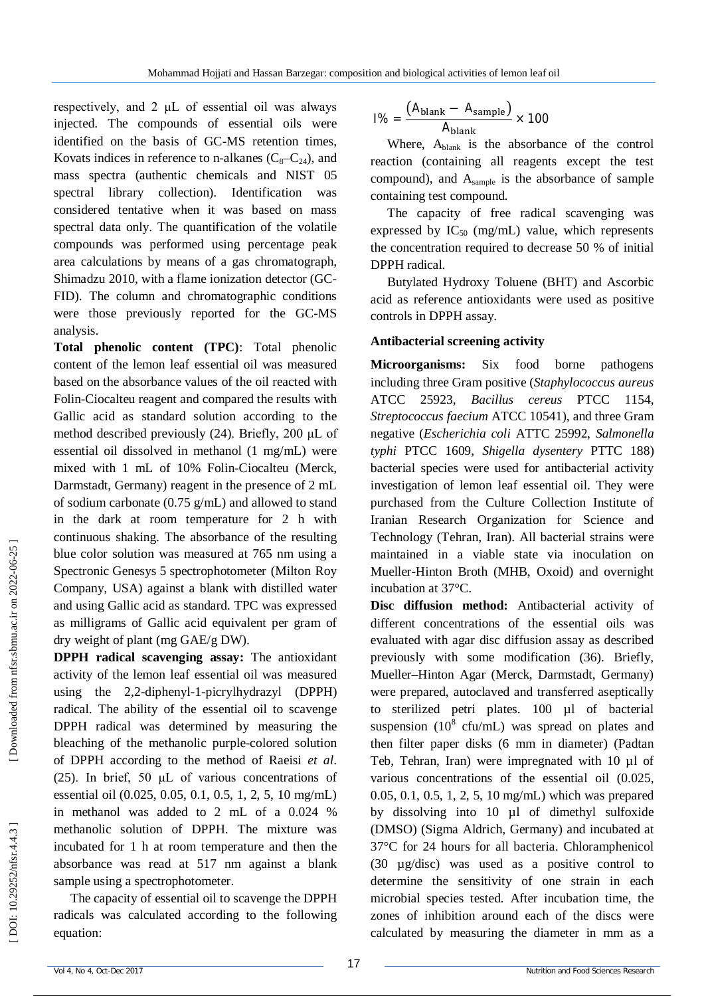respectively, and 2 μL of essential oil was always injected. The compounds of essential oils were identified on the basis of GC -MS retention times, Kovats indices in reference to n-alkanes  $(C_8-C_{24})$ , and mass spectra (authentic chemicals and NIST 05 spectral library collection). Identification was considered tentative when it was based on mass spectral data only. The quantification of the volatile compounds was performed using percentage peak area calculations by means of a gas chromatograph, Shimadzu 2010, with a flame ionization detector (GC - FID). The column and chromatographic conditions were those previously reported for the GC -MS analysis.

**Total phenolic content (TPC)**: Total phenolic content of the lemon leaf essential oil was measured based on the absorbance values of the oil reacted with Folin -Ciocalteu reagent and compared the results with Gallic acid as standard solution according to the method described previously (24). Briefly, 200 μL of essential oil dissolved in methanol (1 mg/mL) were mixed with 1 mL of 10% Folin -Ciocalteu (Merck, Darmstadt, Germany) reagent in the presence of 2 mL of sodium carbonate (0.75 g/mL) and allowed to stand in the dark at room temperature for 2 h with continuous shaking. The absorbance of the resulting blue color solution was measured at 765 nm using a Spectronic Genesys 5 spectrophotometer (Milton Roy Company, USA) against a blank with distilled water and using Gallic acid as standard. TPC was expressed as milligrams of Gallic acid equivalent per gram of dry weight of plant (mg GAE/g DW). injected. The compounds of essential oils were<br>
lidentified on the basis of GC-MS retarion times,<br>
Kovais indices in reference to n-alkanes (C<sub>e</sub>-C<sub>ca</sub>), and<br>
reass spectra (authentic chemicals and NIST O5<br>
spectral libra

**DPPH radical scavenging assay:** The antioxidant activity of the lemon leaf essential oil was measured using the 2,2 -diphenyl - 1 -picrylhydrazyl (DPPH) radical. The ability of the essential oil to scavenge DPPH radical was determined by measuring the bleaching of the methanolic purple -colored solution of DPPH according to the method of Raeisi *et al*. (25). In brief, 50 μL of various concentrations of essential oil (0.025, 0.05, 0.1, 0.5, 1, 2, 5, 10 mg/mL) in methanol was added to 2 mL of a 0.024 % methanolic solution of DPPH. The mixture was incubated for 1 h at room temperature and then the absorbance was read at 517 nm against a blank sample using a spectrophotometer.

The capacity of essential oil to scavenge the DPPH radicals was calculated according to the following

$$
1\% = \frac{(A_{\text{blank}} - A_{\text{sample}})}{A_{\text{blank}}} \times 100
$$

Where, A<sub>blank</sub> is the absorbance of the control reaction (containing all reagents except the test compound), and Asample is the absorbance of sample containing test compound.

The capacity of free radical scavenging was expressed by  $IC_{50}$  (mg/mL) value, which represents the concentration required to decrease 50 % of initial DPPH radical.

Butylated Hydroxy Toluene (BHT) and Ascorbic acid as reference antioxidants were used as positive controls in DPPH assay.

### **Antibacterial screening activity**

**Microorganisms:** Six food borne pathogens including three Gram positive (*Staphylococcus aureus* ATCC 25923, *Bacillus cereus* PTCC 1154, *Streptococcus faecium* ATCC 10541), and three Gram negative (*Escherichia coli* ATTC 25992, *Salmonella typhi* PTCC 1609, *Shigella dysentery* PTTC 188) bacterial species were used for antibacterial activity investigation of lemon leaf essential oil. They were purchased from the Culture Collection Institute of Iranian Research Organization for Science and Technology (Tehran, Iran). All bacterial strains were maintained in a viable state via inoculation on Mueller -Hinton Broth (MHB, Oxoid) and overnight incubation at 37°C.

**Disc diffusion method:** Antibacterial activity of different concentrations of the essential oils was evaluated with agar disc diffusion assay as described previously with some modification (36). Briefly, Mueller –Hinton Agar (Merck, Darmstadt, Germany) were prepared, autoclaved and transferred aseptically to sterilized petri plates. 100 µl of bacterial suspension  $(10^8 \text{ cfu/mL})$  was spread on plates and then filter paper disks (6 mm in diameter) (Padtan Teb, Tehran, Iran) were impregnated with 10 µl of various concentrations of the essential oil (0.025, 0.05, 0.1, 0.5, 1, 2, 5, 10 mg/mL) which was prepared by dissolving into 10 µl of dimethyl sulfoxide (DMSO) (Sigma Aldrich, Germany) and incubated at 37°C for 24 hours for all bacteria. Chloramphenicol (30 µg/disc) was used as a positive control to determine the sensitivity of one strain in each microbial species tested. After incubation time, the zones of inhibition around each of the discs were calculated by measuring the diameter in mm as a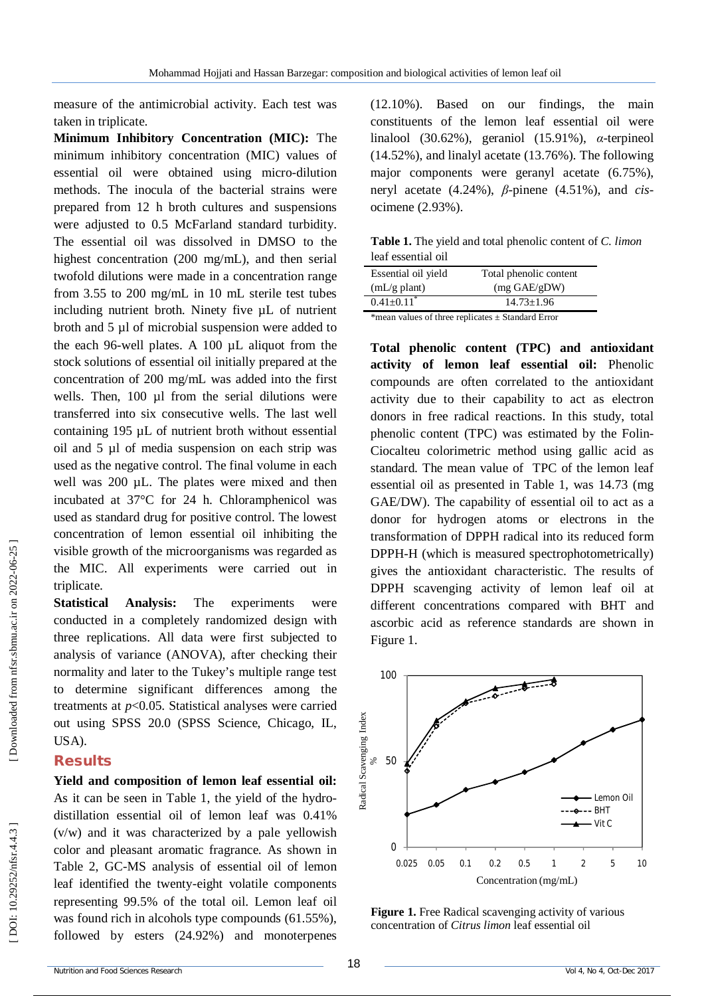measure of the antimicrobial activity. Each test was taken in triplicate.

**Minimum Inhibitory Concentration (MIC):** The minimum inhibitory concentration (MIC) values of essential oil were obtained using micro -dilution methods. The inocula of the bacterial strains were prepared from 12 h broth cultures and suspensions were adjusted to 0.5 McFarland standard turbidity. The essential oil was dissolved in DMSO to the highest concentration (200 mg/mL), and then serial twofold dilutions were made in a concentration range from 3.55 to 200 mg/mL in 10 mL sterile test tubes including nutrient broth. Ninety five µL of nutrient broth and 5 µl of microbial suspension were added to the each 96 -well plates. A 100 µL aliquot from the stock solutions of essential oil initially prepared at the concentration of 200 mg/mL was added into the first wells. Then, 100 µl from the serial dilutions were transferred into six consecutive wells. The last well containing 195 µL of nutrient broth without essential oil and 5 µl of media suspension on each strip was used as the negative control. The final volume in each well was 200 µL. The plates were mixed and then incubated at 37°C for 24 h. Chloramphenicol was used as standard drug for positive control. The lowest concentration of lemon essential oil inhibiting the visible growth of the microorganisms was regarded as the MIC. All experiments were carried out in triplicate.

**Statistical Analysis:** The experiments were conducted in a completely randomized design with three replications. All data were first subjected to analysis of variance (ANOVA), after checking their normality and later to the Tukey's multiple range test to determine significant differences among the treatments at  $p<0.05$ . Statistical analyses were carried out using SPSS 20.0 (SPSS Science, Chicago, IL, USA).

### **Results**

**Yield and composition of lemon leaf essential oil:**  As it can be seen in Table 1, the yield of the hydro distillation essential oil of lemon leaf was 0.41% (v/w) and it was characterized by a pale yellowish color and pleasant aromatic fragrance. As shown in Table 2, GC -MS analysis of essential oil of lemon leaf identified the twenty -eight volatile components representing 99.5% of the total oil. Lemon leaf oil was found rich in alcohols type compounds (61.55%), followed by esters (24.92%) and monoterpenes

(12.10%). Based on our findings, the main constituents of the lemon leaf essential oil were linalool (30.62%), geraniol (15.91%), *α* -terpineol (14.52%), and linalyl acetate (13.76%). The following major components were geranyl acetate (6.75%), neryl acetate (4.24%), *β*-pinene (4.51%), and *cis*ocimene (2.93%).

**Table 1.** The yield and total phenolic content of *C. limon*  leaf essential oil

| Essential oil yield          | Total phenolic content |
|------------------------------|------------------------|
| $mL/g$ plant)                | $(mg \text{ GAE/gDW})$ |
| $0.41 \pm 0.11$ <sup>*</sup> | $14.73 + 1.96$         |

\*mean values of three replicates ± Standard Error

**Total phenolic content (TPC) and antioxidant activity of lemon leaf essential oil:** Phenolic compounds are often correlated to the antioxidant activity due to their capability to act as electron donors in free radical reactions. In this study, total phenolic content (TPC) was estimated by the Folin - Ciocalteu colorimetric method using gallic acid as standard. The mean value of TPC of the lemon leaf essential oil as presented in Table 1, was 14.73 (mg GAE/DW). The capability of essential oil to act as a donor for hydrogen atoms or electrons in the transformation of DPPH radical into its reduced form DPPH -H (which is measured spectrophotometrically) gives the antioxidant characteristic. The results of DPPH scavenging activity of lemon leaf oil at different concentrations compared with BHT and ascorbic acid as reference standards are shown in Figure 1.



**Figure 1.** Free Radical scavenging activity of various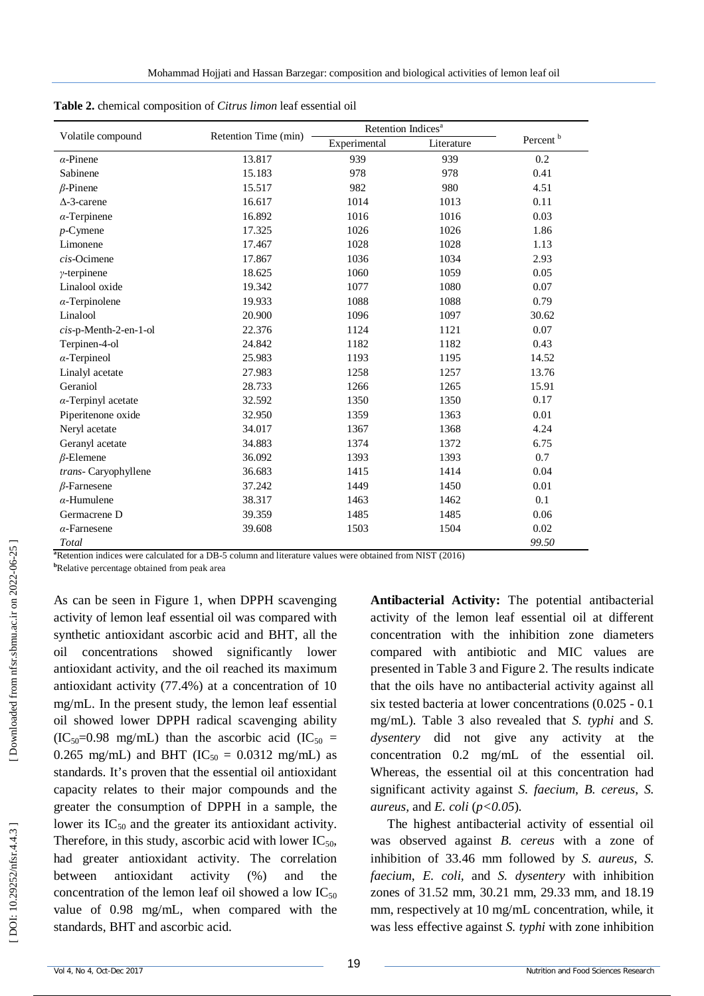|                            |                      | Retention Indices <sup>a</sup> |            |                      |  |
|----------------------------|----------------------|--------------------------------|------------|----------------------|--|
| Volatile compound          | Retention Time (min) | Experimental                   | Literature | Percent <sup>b</sup> |  |
| $\alpha$ -Pinene           | 13.817               | 939                            | 939        | 0.2                  |  |
| Sabinene                   | 15.183               | 978                            | 978        | 0.41                 |  |
| $\beta$ -Pinene            | 15.517               | 982                            | 980        | 4.51                 |  |
| $\Delta$ -3-carene         | 16.617               | 1014                           | 1013       | 0.11                 |  |
| $\alpha$ -Terpinene        | 16.892               | 1016                           | 1016       | 0.03                 |  |
| $p$ -Cymene                | 17.325               | 1026                           | 1026       | 1.86                 |  |
| Limonene                   | 17.467               | 1028                           | 1028       | 1.13                 |  |
| $cis$ -Ocimene             | 17.867               | 1036                           | 1034       | 2.93                 |  |
| $\gamma$ -terpinene        | 18.625               | 1060                           | 1059       | 0.05                 |  |
| Linalool oxide             | 19.342               | 1077                           | 1080       | 0.07                 |  |
| $\alpha$ -Terpinolene      | 19.933               | 1088                           | 1088       | 0.79                 |  |
| Linalool                   | 20.900               | 1096                           | 1097       | 30.62                |  |
| cis-p-Menth-2-en-1-ol      | 22.376               | 1124                           | 1121       | 0.07                 |  |
| Terpinen-4-ol              | 24.842               | 1182                           | 1182       | 0.43                 |  |
| $\alpha$ -Terpineol        | 25.983               | 1193                           | 1195       | 14.52                |  |
| Linalyl acetate            | 27.983               | 1258                           | 1257       | 13.76                |  |
| Geraniol                   | 28.733               | 1266                           | 1265       | 15.91                |  |
| $\alpha$ -Terpinyl acetate | 32.592               | 1350                           | 1350       | 0.17                 |  |
| Piperitenone oxide         | 32.950               | 1359                           | 1363       | 0.01                 |  |
| Neryl acetate              | 34.017               | 1367                           | 1368       | 4.24                 |  |
| Geranyl acetate            | 34.883               | 1374                           | 1372       | 6.75                 |  |
| $\beta$ -Elemene           | 36.092               | 1393                           | 1393       | 0.7                  |  |
| trans- Caryophyllene       | 36.683               | 1415                           | 1414       | 0.04                 |  |
| $\beta$ -Farnesene         | 37.242               | 1449                           | 1450       | 0.01                 |  |
| $\alpha$ -Humulene         | 38.317               | 1463                           | 1462       | 0.1                  |  |
| Germacrene D               | 39.359               | 1485                           | 1485       | 0.06                 |  |
| $\alpha$ -Farnesene        | 39.608               | 1503                           | 1504       | 0.02                 |  |
| Total                      |                      |                                |            | 99.50                |  |

| Table 2. chemical composition of Citrus limon leaf essential oil |
|------------------------------------------------------------------|
|                                                                  |

**<sup>a</sup>**Retention indices were calculated for a DB -5 column and literature values were obtained from NIST (2016)

**<sup>b</sup>**Relative percentage obtained from peak area

As can be seen in Figure 1, when DPPH scavenging activity of lemon leaf essential oil was compared with synthetic antioxidant ascorbic acid and BHT, all the oil concentrations showed significantly lower antioxidant activity, and the oil reached its maximum antioxidant activity (77.4%) at a concentration of 10 mg/mL. In the present study, the lemon leaf essential oil showed lower DPPH radical scavenging ability  $(IC<sub>50</sub>=0.98$  mg/mL) than the ascorbic acid  $(IC<sub>50</sub>=0.98)$ 0.265 mg/mL) and BHT ( $IC_{50} = 0.0312$  mg/mL) as standards. It's proven that the essential oil antioxidant capacity relates to their major compounds and the greater the consumption of DPPH in a sample, the lower its  $IC_{50}$  and the greater its antioxidant activity. Therefore, in this study, ascorbic acid with lower  $IC_{50}$ , had greater antioxidant activity. The correlation between antioxidant activity (%) and the concentration of the lemon leaf oil showed a low  $IC_{50}$ value of 0.98 mg/mL, when compared with the standards, BHT and ascorbic acid.

**Antibacterial Activity:** The potential antibacterial activity of the lemon leaf essential oil at different concentration with the inhibition zone diameters compared with antibiotic and MIC values are presented in Table 3 and Figure 2. The results indicate that the oils have no antibacterial activity against all six tested bacteria at lower concentrations (0.025 - 0.1) mg/mL). Table 3 also revealed that *S. typhi* and *S. dysentery* did not give any activity at the concentration 0.2 mg/mL of the essential oil. Whereas, the essential oil at this concentration had significant activity against *S. faecium*, *B. cereus*, *S. aureus,* and *E. coli*  (*p<0.05*).

The highest antibacterial activity of essential oil was observed against *B. cereus* with a zone of inhibition of 33.46 mm followed by *S. aureus, S. faecium*, *E. coli,* and *S. dysentery* with inhibition zones of 31.52 mm, 30.21 mm, 29.33 mm, and 18.19 mm, respectively at 10 mg/mL concentration, while, it was less effective against *S. typhi* with zone inhibition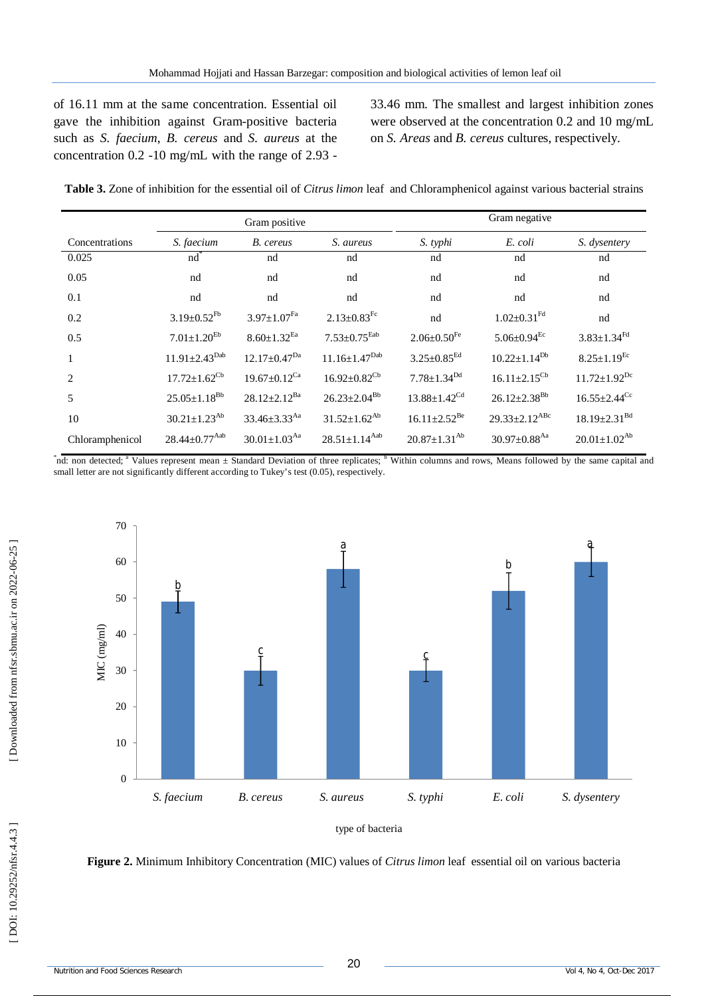of 16.11 mm at the same concentration. Essential oil gave the inhibition against Gram -positive bacteria such as *S. faecium*, *B. cereus* and *S. aureus* at the concentration 0.2 -10 mg/mL with the range of 2.93 -

33.46 mm. The smallest and largest inhibition zones were observed at the concentration 0.2 and 10 mg/mL on *S. Areas* and *B. cereus* cultures, respectively *.*

|                 | Gram positive                   |                                |                                 | Gram negative                  |                                 |                                |
|-----------------|---------------------------------|--------------------------------|---------------------------------|--------------------------------|---------------------------------|--------------------------------|
| Concentrations  | S. faecium                      | B. cereus                      | S. aureus                       | S. typhi                       | E. coli                         | S. dysentery                   |
| 0.025           | nd                              | nd                             | nd                              | nd                             | nd                              | nd                             |
| 0.05            | nd                              | nd                             | nd                              | nd                             | nd                              | nd                             |
| 0.1             | nd                              | nd                             | nd                              | nd                             | nd                              | nd                             |
| 0.2             | $3.19 \pm 0.52$ <sup>Fb</sup>   | $3.97 \pm 1.07^{Fa}$           | $2.13 \pm 0.83$ <sup>Fc</sup>   | nd                             | $1.02 \pm 0.31$ <sup>Fd</sup>   | nd                             |
| 0.5             | $7.01 \pm 1.20^{Eb}$            | $8.60 \pm 1.32$ <sup>Ea</sup>  | $7.53 \pm 0.75$ <sup>Eab</sup>  | $2.06 \pm 0.50$ <sup>Fe</sup>  | $5.06 \pm 0.94$ <sup>Ec</sup>   | $3.83 \pm 1.34$ <sup>Fd</sup>  |
| $\mathbf{1}$    | $11.91 \pm 2.43^{Dab}$          | $12.17 \pm 0.47$ <sup>Da</sup> | $11.16 \pm 1.47$ <sup>Dab</sup> | $3.25 \pm 0.85$ <sup>Ed</sup>  | $10.22 \pm 1.14^{Db}$           | $8.25 \pm 1.19$ <sup>Ec</sup>  |
| $\mathcal{L}$   | $17.72 \pm 1.62^{\rm Cb}$       | $19.67 \pm 0.12$ <sup>Ca</sup> | $16.92 \pm 0.82^{\text{Cb}}$    | $7.78 \pm 1.34^{Dd}$           | $16.11 \pm 2.15^{\text{Cb}}$    | $11.72 \pm 1.92$ <sup>Dc</sup> |
| 5               | $25.05 \pm 1.18^{Bb}$           | $28.12 \pm 2.12^{Ba}$          | $26.23 \pm 2.04^{Bb}$           | $13.88 \pm 1.42^{\text{Cd}}$   | $26.12 \pm 2.38^{Bb}$           | $16.55 \pm 2.44$ <sup>Cc</sup> |
| 10              | $30.21 \pm 1.23$ <sup>Ab</sup>  | $33.46 \pm 3.33$ <sup>Aa</sup> | $31.52 \pm 1.62$ <sup>Ab</sup>  | $16.11 \pm 2.52$ <sup>Be</sup> | $29.33 \pm 2.12$ <sup>ABc</sup> | $18.19 \pm 2.31$ <sup>Bd</sup> |
| Chloramphenicol | $28.44 \pm 0.77$ <sup>Aab</sup> | $30.01 \pm 1.03$ <sup>Aa</sup> | $28.51 \pm 1.14^{Aab}$          | $20.87 \pm 1.31^{Ab}$          | $30.97 \pm 0.88$ <sup>Aa</sup>  | $20.01 \pm 1.02^{Ab}$          |

 $^{\ast}$ nd: non detected;  $^{\ast}$  Values represent mean  $\pm$  Standard Deviation of three replicates; Within columns and rows, Means followed by the same capital and small letter are not significantly different according to Tukey's test (0.05), respectively.



type of bacteria

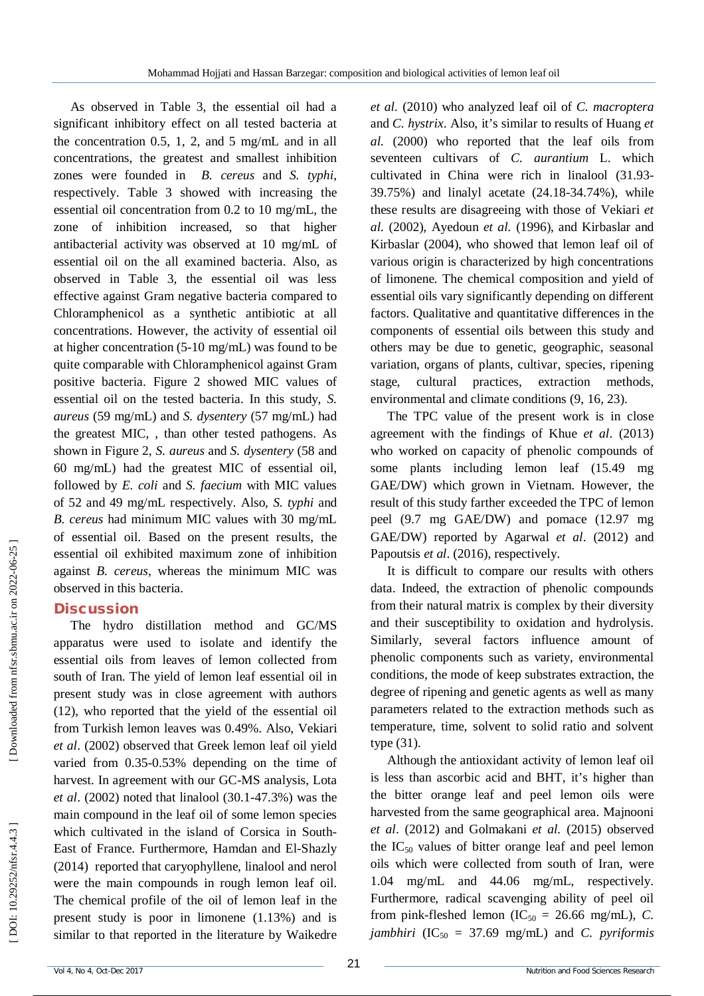As observed in Table 3, the essential oil had a significant inhibitory effect on all tested bacteria at the concentration 0.5, 1, 2, and 5 mg/mL and in all concentrations, the greatest and smallest inhibition zones were founded in *B. cereus* and *S. typhi*, respectively. Table 3 showed with increasing the essential oil concentration from 0.2 to 10 mg/mL, the zone of inhibition increased, so that higher antibacterial activity was observed at 10 mg/mL of essential oil on the all examined bacteria. Also, as observed in Table 3, the essential oil was less effective against Gram negative bacteria compared to Chloramphenicol as a synthetic antibiotic at all concentrations. However, the activity of essential oil at higher concentration (5 -10 mg/mL) was found to be quite comparable with Chloramphenicol against Gram positive bacteria. Figure 2 showed MIC values of essential oil on the tested bacteria. In this study, *S. aureus* (59 mg/mL) and *S. dysentery* (57 mg/mL) had the greatest MIC, , than other tested pathogens. As shown in Figure 2, *S. aureus* and *S. dysentery* (58 and 60 mg/mL) had the greatest MIC of essential oil, followed by *E. coli* and *S. faecium* with MIC values of 52 and 49 mg/mL respectively. Also, *S. typhi* and *B. cereus* had minimum MIC values with 30 mg/mL of essential oil. Based on the present results, the essential oil exhibited maximum zone of inhibition against *B. cereus*, whereas the minimum MIC was observed in this bacteria.

## **Discussion**

The hydro distillation method and GC/MS apparatus were used to isolate and identify the essential oils from leaves of lemon collected from south of Iran. The yield of lemon leaf essential oil in present study was in close agreement with authors (12), who reported that the yield of the essential oil from Turkish lemon leaves was 0.49%. Also, Vekiari *et al*. (2002) observed that Greek lemon leaf oil yield varied from 0.35 -0.53% depending on the time of harvest. In agreement with our GC -MS analysis, Lota *et al*. (2002) noted that linalool (30.1 -47.3%) was the main compound in the leaf oil of some lemon species which cultivated in the island of Corsica in South - East of France. Furthermore, Hamdan and El -Shazly (2014) reported that caryophyllene, linalool and nerol were the main compounds in rough lemon leaf oil. The chemical profile of the oil of lemon leaf in the present study is poor in limonene (1.13%) and is similar to that reported in the literature by Waikedre

*et al.* (2010) who analyzed leaf oil of *C. macroptera* and *C. hystrix*. Also, it's similar to results of Huang *et al.* (2000) who reported that the leaf oils from seventeen cultivars of *C. aurantium* L. which cultivated in China were rich in linalool (31.93 - 39.75%) and linalyl acetate (24.18 -34.74%), while these results are disagreeing with those of Vekiari *et al.* (2002), Ayedoun *et al.* (1996), and Kirbaslar and Kirbaslar (2004), who showed that lemon leaf oil of various origin is characterized by high concentrations of limonene. The chemical composition and yield of essential oils vary significantly depending on different factors. Qualitative and quantitative differences in the components of essential oils between this study and others may be due to genetic, geographic, seasonal variation, organs of plants, cultivar, species, ripening stage, cultural practices, extraction methods, environmental and climate conditions  $(9, 16, 23)$ .

The TPC value of the present work is in close agreement with the findings of Khue *et al*. (2013) who worked on capacity of phenolic compounds of some plants including lemon leaf (15.49 mg GAE/DW) which grown in Vietnam. However, the result of this study farther exceeded the TPC of lemon peel (9.7 mg GAE/DW) and pomace (12.97 mg GAE/DW) reported by Agarwal *et al*. (2012) and Papoutsis *et al*. (2016), respectively.

It is difficult to compare our results with others data. Indeed, the extraction of phenolic compounds from their natural matrix is complex by their diversity and their susceptibility to oxidation and hydrolysis. Similarly, several factors influence amount of phenolic components such as variety, environmental conditions, the mode of keep substrates extraction, the degree of ripening and genetic agents as well as many parameters related to the extraction methods such as temperature, time, solvent to solid ratio and solvent type (31 ) .

Although the antioxidant activity of lemon leaf oil is less than ascorbic acid and BHT, it's higher than the bitter orange leaf and peel lemon oils were harvested from the same geographical area. Majnooni *et al*. (2012) and Golmakani *et al.* (2015) observed the  $IC_{50}$  values of bitter orange leaf and peel lemon oils which were collected from south of Iran, were 1.04 mg/mL and 44.06 mg/mL, respectively. Furthermore, radical scavenging ability of peel oil from pink-fleshed lemon  $(IC_{50} = 26.66 \text{ mg/mL})$ , *C*. *jambhiri*  $(IC_{50} = 37.69 \text{ mg/mL})$  and *C. pyriformis*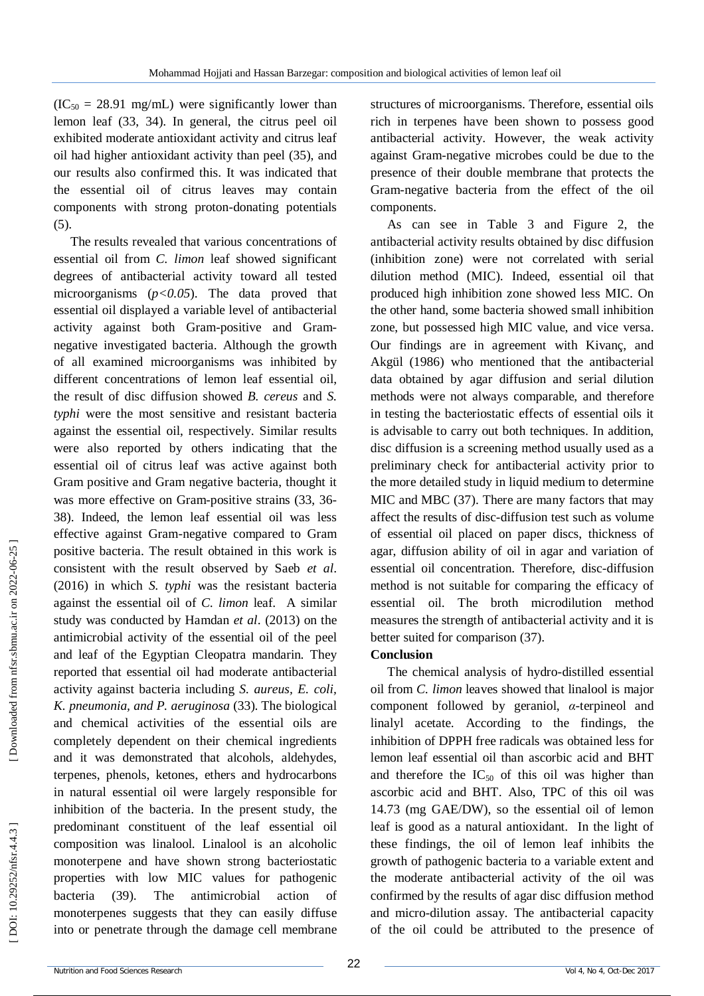$(IC_{50} = 28.91$  mg/mL) were significantly lower than lemon leaf (33, 34 ). In general, the citrus peel oil exhibited moderate antioxidant activity and citrus leaf oil had higher antioxidant activity than peel (35 ), and our results also confirmed this. It was indicated that the essential oil of citrus leaves may contain components with strong proton -donating potentials  $(5)$ .

The results revealed that various concentrations of essential oil from *C. limon* leaf showed significant degrees of antibacterial activity toward all tested microorganisms (*p<0.05*). The data proved that essential oil displayed a variable level of antibacterial activity against both Gram -positive and Gram negative investigated bacteria. Although the growth of all examined microorganisms was inhibited by different concentrations of lemon leaf essential oil, the result of disc diffusion showed *B. cereus* and *S. typhi* were the most sensitive and resistant bacteria against the essential oil, respectively. Similar results were also reported by others indicating that the essential oil of citrus leaf was active against both Gram positive and Gram negative bacteria, thought it was more effective on Gram-positive strains (33, 36-38 ). Indeed, the lemon leaf essential oil was less effective against Gram -negative compared to Gram positive bacteria. The result obtained in this work is consistent with the result observed by Saeb *et al*. (2016) in which *S. typhi* was the resistant bacteria against the essential oil of *C. limon* leaf. A similar study was conducted by Hamdan *et al*. (2013) on the antimicrobial activity of the essential oil of the peel and leaf of the Egyptian Cleopatra mandarin. They reported that essential oil had moderate antibacterial activity against bacteria including *S. aureus, E. coli, K. pneumonia, and P. aeruginosa* (33 ). The biological and chemical activities of the essential oils are completely dependent on their chemical ingredients and it was demonstrated that alcohols, aldehydes, terpenes, phenols, ketones, ethers and hydrocarbons in natural essential oil were largely responsible for inhibition of the bacteria. In the present study, the predominant constituent of the leaf essential oil composition was linalool. Linalool is an alcoholic monoterpene and have shown strong bacteriostatic properties with low MIC values for pathogenic bacteria  $(39)$ . ). The antimicrobial action of monoterpenes suggests that they can easily diffuse into or penetrate through the damage cell membrane

structures of microorganisms. Therefore, essential oils rich in terpenes have been shown to possess good antibacterial activity. However, the weak activity against Gram -negative microbes could be due to the presence of their double membrane that protects the Gram -negative bacteria from the effect of the oil components.

As can see in Table 3 and Figure 2, the antibacterial activity results obtained by disc diffusion (inhibition zone) were not correlated with serial dilution method (MIC). Indeed, essential oil that produced high inhibition zone showed less MIC. On the other hand, some bacteria showed small inhibition zone, but possessed high MIC value, and vice versa. Our findings are in agreement with Kivanç, and Akgül (1986) who mentioned that the antibacterial data obtained by agar diffusion and serial dilution methods were not always comparable, and therefore in testing the bacteriostatic effects of essential oils it is advisable to carry out both techniques. In addition, disc diffusion is a screening method usually used as a preliminary check for antibacterial activity prior to the more detailed study in liquid medium to determine MIC and MBC (37 ). There are many factors that may affect the results of disc -diffusion test such as volume of essential oil placed on paper discs, thickness of agar, diffusion ability of oil in agar and variation of essential oil concentration. Therefore, disc -diffusion method is not suitable for comparing the efficacy of essential oil. The broth microdilution method measures the strength of antibacterial activity and it is better suited for comparison (37 ).

## **Conclusion**

The chemical analysis of hydro -distilled essential oil from *C. limon* leaves showed that linalool is major component followed by geraniol, *α* -terpineol and linalyl acetate. According to the findings, the inhibition of DPPH free radicals was obtained less for lemon leaf essential oil than ascorbic acid and BHT and therefore the  $IC_{50}$  of this oil was higher than ascorbic acid and BHT. Also, TPC of this oil was 14.73 (mg GAE/DW), so the essential oil of lemon leaf is good as a natural antioxidant. In the light of these findings, the oil of lemon leaf inhibits the growth of pathogenic bacteria to a variable extent and the moderate antibacterial activity of the oil was confirmed by the results of agar disc diffusion method and micro -dilution assay. The antibacterial capacity of the oil could be attributed to the presence of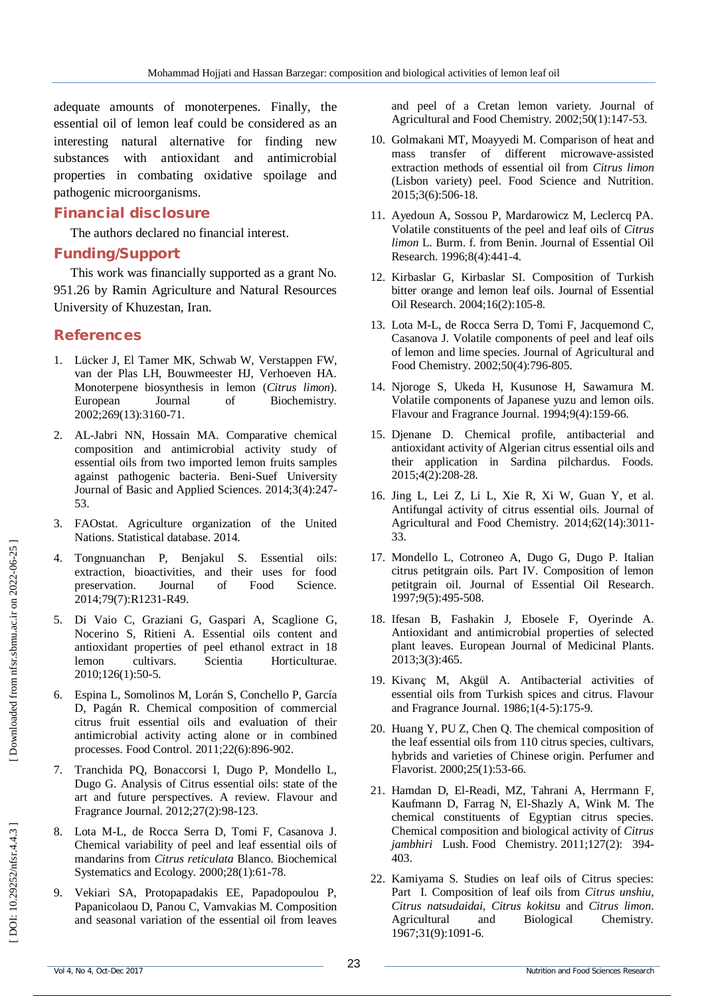adequate amounts of monoterpenes. Finally, the essential oil of lemon leaf could be considered as an interesting natural alternative for finding new substances with antioxidant and antimicrobial properties in combating oxidative spoilage and pathogenic microorganisms.

### **Financial disclosure**

The authors declared no financial interest.

### **Funding/Support**

This work was financially supported as a grant No. 951.26 by Ramin Agriculture and Natural Resources University of Khuzestan, Iran.

## **References**

- 1. Lücker J, El Tamer MK, Schwab W, Verstappen FW, van der Plas LH, Bouwmeester HJ, Verhoeven HA. Monoterpene biosynthesis in lemon (*Citrus limon*). European Journal of Biochemistry. 2002;269(13):3160 -71.
- 2. AL -Jabri NN, Hossain MA. Comparative chemical composition and antimicrobial activity study of essential oils from two imported lemon fruits samples against pathogenic bacteria. Beni -Suef University Journal of Basic and Applied Sciences. 2014;3(4):247 - 53.
- 3. FAOstat. Agriculture organization of the United Nations. Statistical database. 2014.
- 4. Tongnuanchan P, Benjakul S. Essential oils: extraction, bioactivities, and their uses for food preservation. Journal of Food Science. 2014;79(7):R1231 -R49.
- 5. Di Vaio C, Graziani G, Gaspari A, Scaglione G, Nocerino S, Ritieni A. Essential oils content and antioxidant properties of peel ethanol extract in 18 lemon cultivars. Scientia Horticulturae. 2010;126(1):50 -5.
- 6. Espina L, Somolinos M, Lorán S, Conchello P, García D, Pagán R. Chemical composition of commercial citrus fruit essential oils and evaluation of their antimicrobial activity acting alone or in combined processes. Food Control. 2011;22(6):896 -902.
- 7. Tranchida PQ, Bonaccorsi I, Dugo P, Mondello L, Dugo G. Analysis of Citrus essential oils: state of the art and future perspectives. A review. Flavour and Fragrance Journal. 2012;27(2):98 -123.
- 8. Lota M -L, de Rocca Serra D, Tomi F, Casanova J. Chemical variability of peel and leaf essential oils of mandarins from *Citrus reticulata* Blanco. Biochemical Systematics and Ecology. 2000;28(1):61 -78.
- 9. Vekiari SA, Protopapadakis EE, Papadopoulou P, Papanicolaou D, Panou C, Vamvakias M. Composition and seasonal variation of the essential oil from leaves

and peel of a Cretan lemon variety. Journal of Agricultural and Food Chemistry. 2002;50(1):147 -53.

- 10. Golmakani MT, Moayyedi M. Comparison of heat and mass transfer of different microwave ‐assisted extraction methods of essential oil from *Citrus limon* (Lisbon variety) peel. Food Science and Nutrition. 2015;3(6):506 -18.
- 11. Ayedoun A, Sossou P, Mardarowicz M, Leclercq PA. Volatile constituents of the peel and leaf oils of *Citrus limon* L. Burm. f. from Benin. Journal of Essential Oil Research. 1996;8(4):441 -4.
- 12. Kirbaslar G, Kirbaslar SI. Composition of Turkish bitter orange and lemon leaf oils. Journal of Essential Oil Research. 2004;16(2):105 -8.
- 13. Lota M -L, de Rocca Serra D, Tomi F, Jacquemond C, Casanova J. Volatile components of peel and leaf oils of lemon and lime species. Journal of Agricultural and Food Chemistry. 2002;50(4):796 -805.
- 14. Njoroge S, Ukeda H, Kusunose H, Sawamura M. Volatile components of Japanese yuzu and lemon oils. Flavour and Fragrance Journal. 1994;9(4):159 -66.
- 15. Djenane D. Chemical profile, antibacterial and antioxidant activity of Algerian citrus essential oils and their application in Sardina pilchardus. Foods. 2015;4(2):208 -28.
- 16. Jing L, Lei Z, Li L, Xie R, Xi W, Guan Y, et al. Antifungal activity of citrus essential oils. Journal of Agricultural and Food Chemistry. 2014;62(14):3011 - 33.
- 17. Mondello L, Cotroneo A, Dugo G, Dugo P. Italian citrus petitgrain oils. Part IV. Composition of lemon petitgrain oil. Journal of Essential Oil Research. 1997;9(5):495 -508.
- 18. Ifesan B, Fashakin J, Ebosele F, Oyerinde A. Antioxidant and antimicrobial properties of selected plant leaves. European Journal of Medicinal Plants. 2013;3(3):465.
- 19. Kivanç M, Akgül A. Antibacterial activities of essential oils from Turkish spices and citrus. Flavour and Fragrance Journal. 1986;1(4 ‐5):175 -9.
- 20. Huang Y, PU Z, Chen Q. The chemical composition of the leaf essential oils from 110 citrus species, cultivars, hybrids and varieties of Chinese origin. Perfumer and Flavorist. 2000;25(1):53 -66.
- 21. Hamdan D, El -Readi, MZ, Tahrani A, Herrmann F, Kaufmann D, Farrag N, El -Shazly A, Wink M. The chemical constituents of Egyptian citrus species. Chemical composition and biological activity of *Citrus jambhiri* Lush. Food Chemistry. 2011;127(2): 394 - 403.
- 22. Kamiyama S. Studies on leaf oils of Citrus species: Part I. Composition of leaf oils from *Citrus unshiu*, *Citrus natsudaidai*, *Citrus kokitsu* and *Citrus limon*. Agricultural and Biological Chemistry. 1967;31(9):1091 -6.

DOI: 10.29252/nfsr.4.4.3